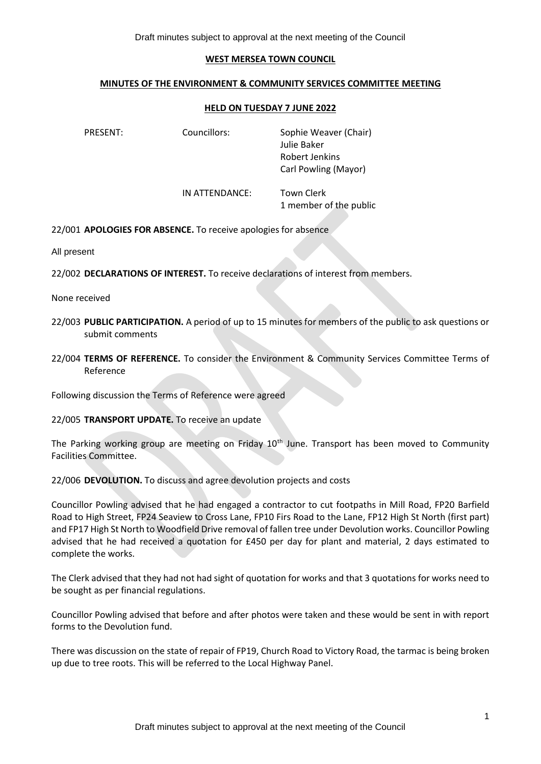## Draft minutes subject to approval at the next meeting of the Council

## **WEST MERSEA TOWN COUNCIL**

## **MINUTES OF THE ENVIRONMENT & COMMUNITY SERVICES COMMITTEE MEETING**

## **HELD ON TUESDAY 7 JUNE 2022**

PRESENT: Councillors: Sophie Weaver (Chair) Julie Baker Robert Jenkins Carl Powling (Mayor) IN ATTENDANCE: Town Clerk 1 member of the public

22/001 **APOLOGIES FOR ABSENCE.** To receive apologies for absence

All present

22/002 **DECLARATIONS OF INTEREST.** To receive declarations of interest from members.

None received

- 22/003 **PUBLIC PARTICIPATION.** A period of up to 15 minutes for members of the public to ask questions or submit comments
- 22/004 **TERMS OF REFERENCE.** To consider the Environment & Community Services Committee Terms of Reference

Following discussion the Terms of Reference were agreed

22/005 **TRANSPORT UPDATE.** To receive an update

The Parking working group are meeting on Friday 10<sup>th</sup> June. Transport has been moved to Community Facilities Committee.

22/006 **DEVOLUTION.** To discuss and agree devolution projects and costs

Councillor Powling advised that he had engaged a contractor to cut footpaths in Mill Road, FP20 Barfield Road to High Street, FP24 Seaview to Cross Lane, FP10 Firs Road to the Lane, FP12 High St North (first part) and FP17 High St North to Woodfield Drive removal of fallen tree under Devolution works. Councillor Powling advised that he had received a quotation for £450 per day for plant and material, 2 days estimated to complete the works.

The Clerk advised that they had not had sight of quotation for works and that 3 quotations for works need to be sought as per financial regulations.

Councillor Powling advised that before and after photos were taken and these would be sent in with report forms to the Devolution fund.

There was discussion on the state of repair of FP19, Church Road to Victory Road, the tarmac is being broken up due to tree roots. This will be referred to the Local Highway Panel.